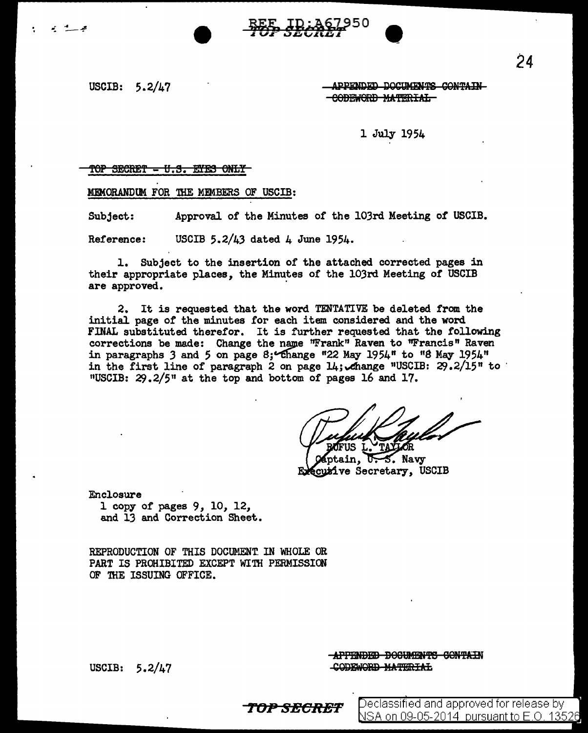USCIB: 5.2/47

می است

APPENDED DOCUMENTS CONTAIN eobEWORD MATERIAL

1 July 1954

#### TOP SECRET - U.S. EYES ONLY

MEMORANDUM FOR THE MEMBERS OF USCIB:

Subject: Approval of the Minutes of the 103rd Meeting of USCIB.

Reference: USCIB 5.2/ $\mu$ 3 dated  $\mu$  June 195 $\mu$ .

1. Subject to the insertion of the attached corrected pages in their appropriate places, the Minutes of the 103rd Meeting of USCIB are approved.

2. It is requested that the word TENTATIVE be deleted from the initial page of the minutes for each item considered and the word FINAL substituted therefor. It is further requested that the following corrections be made: Change the name "Frank" Raven to "Francis" Raven in paragraphs 3 and 5 on page 8; Change "22 May 1954" to "8 May 1954" in the first line of paragraph 2 on page  $14$ ; Anange "USCIB: 29.2/15" to  $\cdot$  "USCIB: 29.2/5" at the top and bottom of pages 16 and 17.

OFUS L. TAYLOR

aptain, U.S. Navy cuzive Secretary, USCIB

Enclosure 1 copy of pages 9, 10, 12, and 13 and Correction Sheet.

REPRODUCTION OF THIS DOCUMENT. IN WHOLE OR PART IS PROHIBITED EXCEPT WITH PERMISSION OF THE ISSUING OFFICE.

USCIB: 5.2/47

APPENDED DOCUMENTS CONTAIN CODEWORD MATERIAL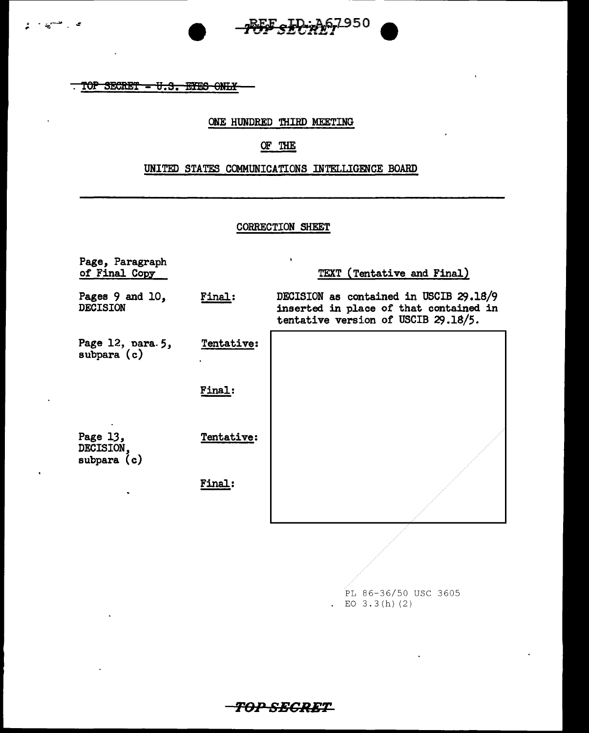



ی سے

#### ONE HUNDRED THIRD MEETING

# OF THE

## UNITED STATES COMMUNICATIONS INTELLIGENCE BOARD

## CORRECTION SHEET

| Page, Paragraph<br>of Final Copy       |            | $\mathbf{I}$<br>TEXT (Tentative and Final)                                                                              |
|----------------------------------------|------------|-------------------------------------------------------------------------------------------------------------------------|
| Pages 9 and 10,<br><b>DECISION</b>     | Final:     | DECISION as contained in USCIB 29.18/9<br>inserted in place of that contained in<br>tentative version of USCIB 29.18/5. |
| Page 12, para. 5,<br>subpara $(c)$     | Tentative: |                                                                                                                         |
|                                        | Final:     |                                                                                                                         |
| Page 13,<br>DECISION.<br>subpara $(c)$ | Tentative: |                                                                                                                         |
|                                        | Final:     |                                                                                                                         |
|                                        |            |                                                                                                                         |

PL 86-36/50 USC 3605 . EO  $3.3(h)$  (2)

*TOP SECRET*